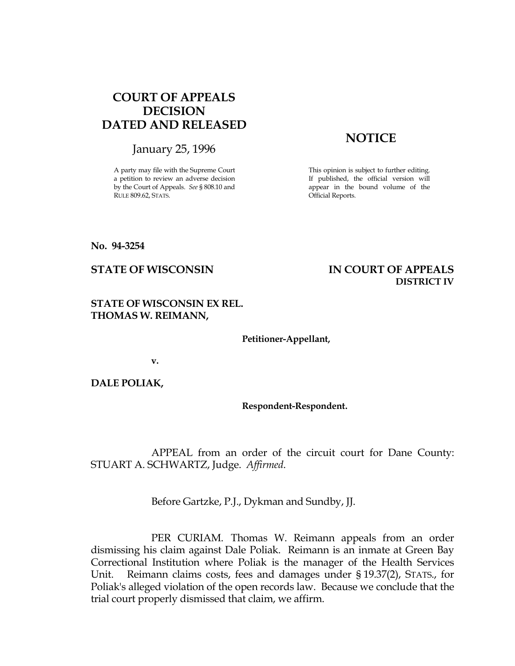## COURT OF APPEALS DECISION DATED AND RELEASED

January 25, 1996

A party may file with the Supreme Court a petition to review an adverse decision by the Court of Appeals. See § 808.10 and RULE 809.62, STATS.

## **NOTICE**

This opinion is subject to further editing. If published, the official version will appear in the bound volume of the Official Reports.

No. 94-3254

## STATE OF WISCONSIN IN COURT OF APPEALS DISTRICT IV

STATE OF WISCONSIN EX REL. THOMAS W. REIMANN,

Petitioner-Appellant,

v.

DALE POLIAK,

Respondent-Respondent.

 APPEAL from an order of the circuit court for Dane County: STUART A. SCHWARTZ, Judge. Affirmed.

Before Gartzke, P.J., Dykman and Sundby, JJ.

 PER CURIAM. Thomas W. Reimann appeals from an order dismissing his claim against Dale Poliak. Reimann is an inmate at Green Bay Correctional Institution where Poliak is the manager of the Health Services Unit. Reimann claims costs, fees and damages under § 19.37(2), STATS., for Poliak's alleged violation of the open records law. Because we conclude that the trial court properly dismissed that claim, we affirm.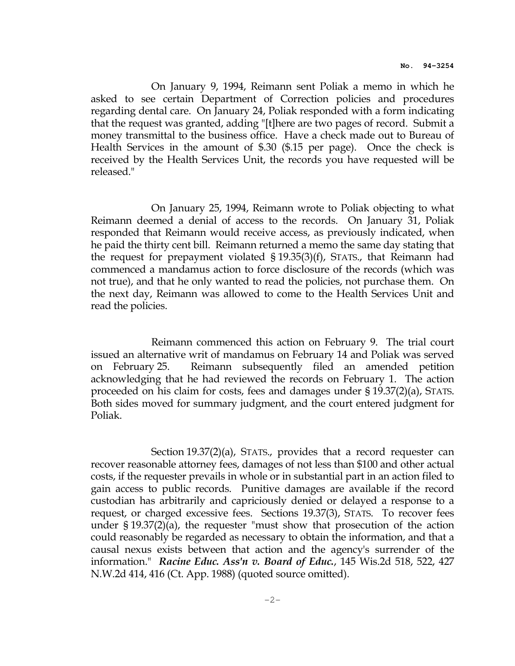On January 9, 1994, Reimann sent Poliak a memo in which he asked to see certain Department of Correction policies and procedures regarding dental care. On January 24, Poliak responded with a form indicating that the request was granted, adding "[t]here are two pages of record. Submit a money transmittal to the business office. Have a check made out to Bureau of Health Services in the amount of \$.30 (\$.15 per page). Once the check is received by the Health Services Unit, the records you have requested will be released."

 On January 25, 1994, Reimann wrote to Poliak objecting to what Reimann deemed a denial of access to the records. On January 31, Poliak responded that Reimann would receive access, as previously indicated, when he paid the thirty cent bill. Reimann returned a memo the same day stating that the request for prepayment violated § 19.35(3)(f), STATS., that Reimann had commenced a mandamus action to force disclosure of the records (which was not true), and that he only wanted to read the policies, not purchase them. On the next day, Reimann was allowed to come to the Health Services Unit and read the policies.

 Reimann commenced this action on February 9. The trial court issued an alternative writ of mandamus on February 14 and Poliak was served on February 25. Reimann subsequently filed an amended petition acknowledging that he had reviewed the records on February 1. The action proceeded on his claim for costs, fees and damages under § 19.37(2)(a), STATS. Both sides moved for summary judgment, and the court entered judgment for Poliak.

 Section 19.37(2)(a), STATS., provides that a record requester can recover reasonable attorney fees, damages of not less than \$100 and other actual costs, if the requester prevails in whole or in substantial part in an action filed to gain access to public records. Punitive damages are available if the record custodian has arbitrarily and capriciously denied or delayed a response to a request, or charged excessive fees. Sections 19.37(3), STATS. To recover fees under § 19.37(2)(a), the requester "must show that prosecution of the action could reasonably be regarded as necessary to obtain the information, and that a causal nexus exists between that action and the agency's surrender of the information." Racine Educ. Ass'n v. Board of Educ., 145 Wis.2d 518, 522, 427 N.W.2d 414, 416 (Ct. App. 1988) (quoted source omitted).